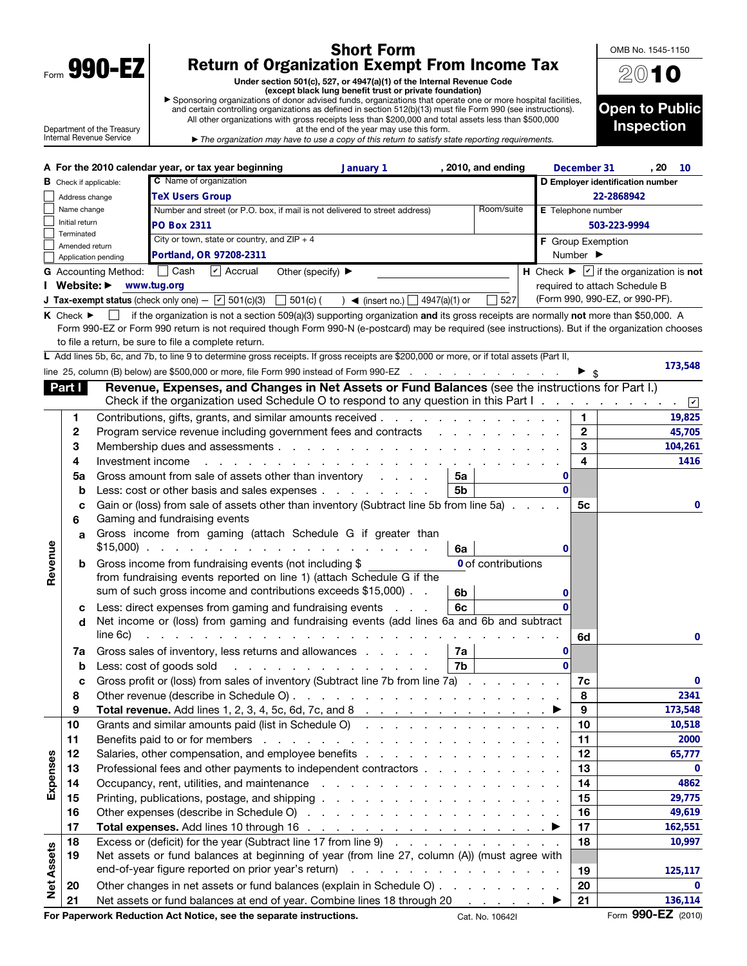| Form | Λ<br>V.<br>Y<br>Π<br>L |  |
|------|------------------------|--|
|      |                        |  |

 $\mathbf{I}$ 

## Short Form Return of Organization Exempt From Income Tax

Under section 501(c), 527, or 4947(a)(1) of the Internal Revenue Code<br>● Sponsoring organizations of donor advised funds, organizations that operate one or more hospital facilities,

| Sponsoring organizations of donor advised funds, organizations that operate one or more hospital facilities,  |
|---------------------------------------------------------------------------------------------------------------|
| and certain controlling organizations as defined in section 512(b)(13) must file Form 990 (see instructions). |
| All other organizations with gross receipts less than \$200,000 and total assets less than \$500,000          |
| at the end of the year may use this form                                                                      |

Department of the Treasury Internal Revenue Service

| at the end of the year may use this form.                                                                             |
|-----------------------------------------------------------------------------------------------------------------------|
| $\blacktriangleright$ The organization may have to use a copy of this return to satisfy state reporting requirements. |



|                   |                                       |                           | A For the 2010 calendar year, or tax year beginning                                                                                                                                                                            | January 1                                           |                | , 2010, and ending |                    | December 31                  | , 20                                                                                        | 10          |
|-------------------|---------------------------------------|---------------------------|--------------------------------------------------------------------------------------------------------------------------------------------------------------------------------------------------------------------------------|-----------------------------------------------------|----------------|--------------------|--------------------|------------------------------|---------------------------------------------------------------------------------------------|-------------|
|                   | <b>B</b> Check if applicable:         |                           | C Name of organization                                                                                                                                                                                                         |                                                     |                |                    |                    |                              | D Employer identification number                                                            |             |
|                   | Address change                        |                           | <b>TeX Users Group</b>                                                                                                                                                                                                         |                                                     |                |                    |                    |                              | 22-2868942                                                                                  |             |
|                   | Name change                           |                           | Number and street (or P.O. box, if mail is not delivered to street address)                                                                                                                                                    |                                                     |                | Room/suite         | E Telephone number |                              |                                                                                             |             |
|                   | Initial return                        |                           | <b>PO Box 2311</b>                                                                                                                                                                                                             |                                                     |                |                    |                    |                              | 503-223-9994                                                                                |             |
|                   | Terminated                            |                           | City or town, state or country, and $ZIP + 4$                                                                                                                                                                                  |                                                     |                |                    |                    |                              | F Group Exemption                                                                           |             |
|                   | Amended return<br>Application pending |                           | Portland, OR 97208-2311                                                                                                                                                                                                        |                                                     |                |                    |                    | Number $\blacktriangleright$ |                                                                                             |             |
|                   |                                       | G Accounting Method: Cash | $ v $ Accrual<br>Other (specify) $\blacktriangleright$                                                                                                                                                                         |                                                     |                |                    |                    |                              | $\overline{H}$ Check $\blacktriangleright \overline{\red{\vee}}$ if the organization is not |             |
|                   | Website: $\blacktriangleright$        |                           | www.tug.org                                                                                                                                                                                                                    |                                                     |                |                    |                    |                              | required to attach Schedule B                                                               |             |
|                   |                                       |                           | <b>J Tax-exempt status</b> (check only one) $ \boxed{\mathbf{v}}$ 501(c)(3)<br>$\Box$ 501(c) (                                                                                                                                 | ) 	◄ (insert no.) $\Box$ 4947(a)(1) or              |                | 527                |                    |                              | (Form 990, 990-EZ, or 990-PF).                                                              |             |
|                   |                                       |                           |                                                                                                                                                                                                                                |                                                     |                |                    |                    |                              |                                                                                             |             |
|                   | <b>K</b> Check $\blacktriangleright$  | $\mathbf{1}$              | if the organization is not a section 509(a)(3) supporting organization and its gross receipts are normally not more than \$50,000. A                                                                                           |                                                     |                |                    |                    |                              |                                                                                             |             |
|                   |                                       |                           | Form 990-EZ or Form 990 return is not required though Form 990-N (e-postcard) may be required (see instructions). But if the organization chooses                                                                              |                                                     |                |                    |                    |                              |                                                                                             |             |
|                   |                                       |                           | to file a return, be sure to file a complete return.                                                                                                                                                                           |                                                     |                |                    |                    |                              |                                                                                             |             |
|                   |                                       |                           | L Add lines 5b, 6c, and 7b, to line 9 to determine gross receipts. If gross receipts are \$200,000 or more, or if total assets (Part II,                                                                                       |                                                     |                |                    |                    |                              |                                                                                             | 173,548     |
|                   |                                       |                           | line 25, column (B) below) are \$500,000 or more, file Form 990 instead of Form 990-EZ                                                                                                                                         |                                                     |                |                    |                    | \$                           |                                                                                             |             |
|                   | Part I                                |                           | Revenue, Expenses, and Changes in Net Assets or Fund Balances (see the instructions for Part I.)                                                                                                                               |                                                     |                |                    |                    |                              |                                                                                             |             |
|                   |                                       |                           | Check if the organization used Schedule O to respond to any question in this Part I.                                                                                                                                           |                                                     |                |                    |                    |                              |                                                                                             | $\sqrt{2}$  |
|                   | 1.                                    |                           | Contributions, gifts, grants, and similar amounts received                                                                                                                                                                     |                                                     |                |                    |                    | 1.                           |                                                                                             | 19,825      |
|                   | 2                                     |                           | Program service revenue including government fees and contracts                                                                                                                                                                |                                                     |                |                    |                    | $\mathbf{2}$                 |                                                                                             | 45,705      |
|                   | 3                                     |                           |                                                                                                                                                                                                                                |                                                     |                |                    |                    | 3                            |                                                                                             | 104,261     |
|                   | 4                                     | Investment income         |                                                                                                                                                                                                                                |                                                     |                |                    |                    | 4                            |                                                                                             | 1416        |
|                   | 5a                                    |                           | Gross amount from sale of assets other than inventory                                                                                                                                                                          |                                                     | 5a             |                    | 0                  |                              |                                                                                             |             |
|                   | b                                     |                           | Less: cost or other basis and sales expenses                                                                                                                                                                                   |                                                     | 5 <sub>b</sub> |                    | $\Omega$           |                              |                                                                                             |             |
|                   | с                                     |                           | Gain or (loss) from sale of assets other than inventory (Subtract line 5b from line 5a).                                                                                                                                       |                                                     |                |                    |                    | 5с                           |                                                                                             | 0           |
|                   | 6                                     |                           | Gaming and fundraising events                                                                                                                                                                                                  |                                                     |                |                    |                    |                              |                                                                                             |             |
|                   | a                                     |                           | Gross income from gaming (attach Schedule G if greater than                                                                                                                                                                    |                                                     |                |                    |                    |                              |                                                                                             |             |
|                   |                                       | $$15,000$ ).              | and the contract of the contract of the contract of the contract of the contract of the contract of the contract of the contract of the contract of the contract of the contract of the contract of the contract of the contra |                                                     | 6a             |                    | 0                  |                              |                                                                                             |             |
| Revenue           | b                                     |                           | Gross income from fundraising events (not including \$                                                                                                                                                                         |                                                     |                | 0 of contributions |                    |                              |                                                                                             |             |
|                   |                                       |                           | from fundraising events reported on line 1) (attach Schedule G if the                                                                                                                                                          |                                                     |                |                    |                    |                              |                                                                                             |             |
|                   |                                       |                           | sum of such gross income and contributions exceeds \$15,000). .                                                                                                                                                                |                                                     |                |                    |                    |                              |                                                                                             |             |
|                   |                                       |                           |                                                                                                                                                                                                                                |                                                     | 6b             |                    | 0                  |                              |                                                                                             |             |
|                   | c                                     |                           | Less: direct expenses from gaming and fundraising events                                                                                                                                                                       |                                                     | 6c             |                    | 0                  |                              |                                                                                             |             |
|                   | d                                     |                           | Net income or (loss) from gaming and fundraising events (add lines 6a and 6b and subtract                                                                                                                                      |                                                     |                |                    |                    |                              |                                                                                             |             |
|                   |                                       | line 6c)                  | .                                                                                                                                                                                                                              |                                                     |                |                    |                    | 6d                           |                                                                                             | 0           |
|                   | 7a                                    |                           | Gross sales of inventory, less returns and allowances                                                                                                                                                                          |                                                     | 7a             |                    | 0                  |                              |                                                                                             |             |
|                   | b                                     |                           | Less: cost of goods sold                                                                                                                                                                                                       | a de la carta de la carta de la carta               | 7b             |                    | $\Omega$           |                              |                                                                                             |             |
|                   | c                                     |                           | Gross profit or (loss) from sales of inventory (Subtract line 7b from line 7a)                                                                                                                                                 |                                                     |                |                    |                    | 7c                           |                                                                                             | 0           |
|                   | 8                                     |                           |                                                                                                                                                                                                                                |                                                     |                |                    |                    | 8                            |                                                                                             | 2341        |
|                   | 9                                     |                           | <b>Total revenue.</b> Add lines 1, 2, 3, 4, 5c, 6d, 7c, and 8 $\ldots$                                                                                                                                                         |                                                     |                |                    |                    | 9                            |                                                                                             | 173,548     |
|                   | 10                                    |                           | Grants and similar amounts paid (list in Schedule O)                                                                                                                                                                           |                                                     |                |                    |                    | 10                           |                                                                                             | 10,518      |
|                   | 11                                    |                           |                                                                                                                                                                                                                                |                                                     |                |                    |                    | 11                           |                                                                                             | 2000        |
|                   | 12                                    |                           |                                                                                                                                                                                                                                |                                                     |                |                    |                    | 12                           |                                                                                             | 65,777      |
| Expenses          | 13                                    |                           | Professional fees and other payments to independent contractors                                                                                                                                                                |                                                     |                |                    |                    | 13                           |                                                                                             | $\mathbf 0$ |
|                   | 14                                    |                           |                                                                                                                                                                                                                                |                                                     |                |                    |                    | 14                           |                                                                                             | 4862        |
|                   | 15                                    |                           |                                                                                                                                                                                                                                |                                                     |                |                    |                    | 15                           |                                                                                             | 29,775      |
|                   | 16                                    |                           |                                                                                                                                                                                                                                |                                                     |                |                    |                    | 16                           |                                                                                             | 49,619      |
|                   | 17                                    |                           |                                                                                                                                                                                                                                |                                                     |                |                    |                    | 17                           |                                                                                             | 162,551     |
|                   | 18                                    |                           | Excess or (deficit) for the year (Subtract line 17 from line 9)                                                                                                                                                                |                                                     |                |                    |                    | 18                           |                                                                                             | 10,997      |
|                   | 19                                    |                           | Net assets or fund balances at beginning of year (from line 27, column (A)) (must agree with                                                                                                                                   |                                                     |                |                    |                    |                              |                                                                                             |             |
| <b>Net Assets</b> |                                       |                           | end-of-year figure reported on prior year's return)                                                                                                                                                                            | the contract of the contract of the contract of the |                |                    |                    | 19                           |                                                                                             | 125,117     |
|                   | 20                                    |                           | Other changes in net assets or fund balances (explain in Schedule O)                                                                                                                                                           |                                                     |                |                    |                    | 20                           |                                                                                             | 0           |
|                   |                                       |                           |                                                                                                                                                                                                                                |                                                     |                |                    |                    |                              |                                                                                             | 136,114     |
|                   | 21                                    |                           | Net assets or fund balances at end of year. Combine lines 18 through 20 ▶                                                                                                                                                      |                                                     |                |                    |                    | 21                           |                                                                                             |             |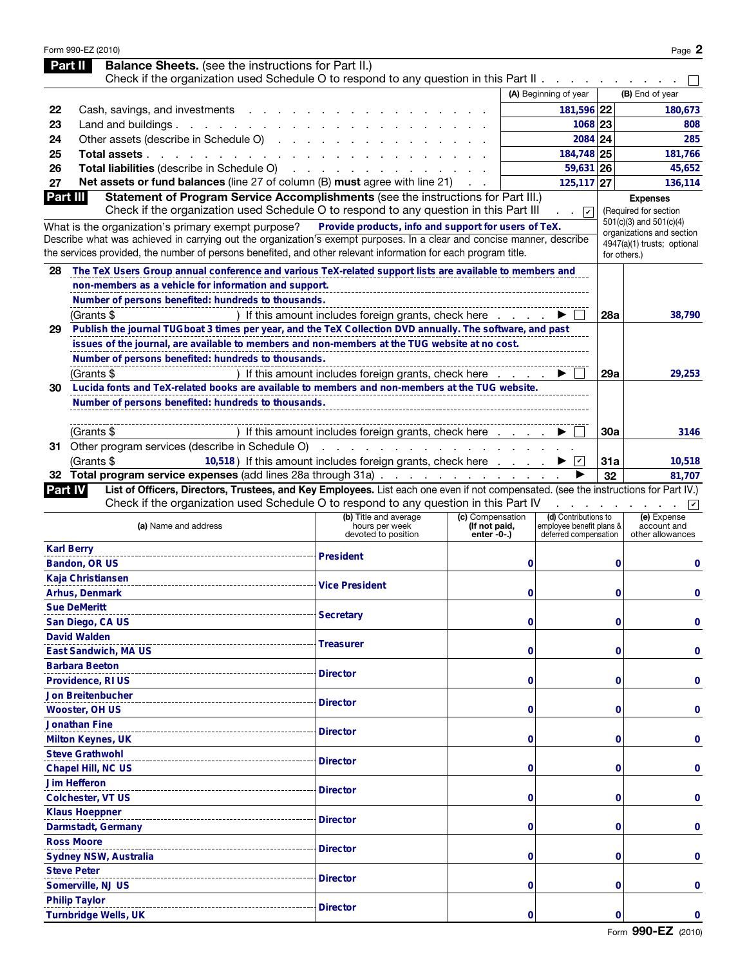|                | Form 990-EZ (2010)<br><b>Balance Sheets.</b> (see the instructions for Part II.)<br>Part II                                                                                                                                              |                                                                |                                                  |                                                                           |             | Page 2                                           |
|----------------|------------------------------------------------------------------------------------------------------------------------------------------------------------------------------------------------------------------------------------------|----------------------------------------------------------------|--------------------------------------------------|---------------------------------------------------------------------------|-------------|--------------------------------------------------|
|                | Check if the organization used Schedule O to respond to any question in this Part II.                                                                                                                                                    |                                                                |                                                  |                                                                           |             |                                                  |
|                |                                                                                                                                                                                                                                          |                                                                |                                                  | (A) Beginning of year                                                     |             | (B) End of year                                  |
| 22             | Cash, savings, and investments                                                                                                                                                                                                           |                                                                |                                                  | 181,596 22                                                                |             | 180,673                                          |
| 23             | Land and buildings. $\ldots$ $\ldots$ $\ldots$ $\ldots$                                                                                                                                                                                  |                                                                |                                                  | 1068 23                                                                   |             | 808                                              |
| 24             | Other assets (describe in Schedule O)                                                                                                                                                                                                    |                                                                |                                                  | 2084 24                                                                   |             | 285                                              |
| 25             | Total assets.                                                                                                                                                                                                                            |                                                                |                                                  | 184,748 25                                                                |             | 181,766                                          |
| 26             | Total liabilities (describe in Schedule O)                                                                                                                                                                                               |                                                                |                                                  | 59,631 26                                                                 |             | 45,652                                           |
| 27             | Net assets or fund balances (line 27 of column (B) must agree with line 21)                                                                                                                                                              |                                                                |                                                  | 125, 117 27                                                               |             | 136,114                                          |
| Part III       | Statement of Program Service Accomplishments (see the instructions for Part III.)                                                                                                                                                        |                                                                |                                                  |                                                                           |             | <b>Expenses</b>                                  |
|                | Check if the organization used Schedule O to respond to any question in this Part III                                                                                                                                                    |                                                                |                                                  | $\overline{\mathbf{v}}$<br>$\sim$                                         |             | (Required for section<br>501(c)(3) and 501(c)(4) |
|                | What is the organization's primary exempt purpose?                                                                                                                                                                                       | Provide products, info and support for users of TeX.           |                                                  |                                                                           |             | organizations and section                        |
|                | Describe what was achieved in carrying out the organization's exempt purposes. In a clear and concise manner, describe<br>the services provided, the number of persons benefited, and other relevant information for each program title. |                                                                |                                                  |                                                                           |             | 4947(a)(1) trusts; optional<br>for others.)      |
| 28             | The TeX Users Group annual conference and various TeX-related support lists are available to members and                                                                                                                                 |                                                                |                                                  |                                                                           |             |                                                  |
|                | non-members as a vehicle for information and support.                                                                                                                                                                                    |                                                                |                                                  |                                                                           |             |                                                  |
|                | Number of persons benefited: hundreds to thousands.                                                                                                                                                                                      |                                                                |                                                  |                                                                           |             |                                                  |
|                | (Grants \$                                                                                                                                                                                                                               | If this amount includes foreign grants, check here             |                                                  |                                                                           | 28a         | 38,790                                           |
| 29             | Publish the journal TUGboat 3 times per year, and the TeX Collection DVD annually. The software, and past                                                                                                                                |                                                                |                                                  |                                                                           |             |                                                  |
|                | issues of the journal, are available to members and non-members at the TUG website at no cost.                                                                                                                                           |                                                                |                                                  |                                                                           |             |                                                  |
|                | Number of persons benefited: hundreds to thousands.                                                                                                                                                                                      |                                                                |                                                  |                                                                           |             |                                                  |
|                | (Grants \$                                                                                                                                                                                                                               | If this amount includes foreign grants, check here             |                                                  |                                                                           | 29a         | 29,253                                           |
| 30             | Lucida fonts and TeX-related books are available to members and non-members at the TUG website.                                                                                                                                          |                                                                |                                                  |                                                                           |             |                                                  |
|                | Number of persons benefited: hundreds to thousands.                                                                                                                                                                                      |                                                                |                                                  |                                                                           |             |                                                  |
|                |                                                                                                                                                                                                                                          |                                                                |                                                  |                                                                           |             |                                                  |
|                | (Grants \$                                                                                                                                                                                                                               | If this amount includes foreign grants, check here             |                                                  |                                                                           | 30a         | 3146                                             |
|                | 31 Other program services (describe in Schedule O)                                                                                                                                                                                       | and a straightful contract of the                              |                                                  |                                                                           |             |                                                  |
|                | (Grants \$                                                                                                                                                                                                                               | 10,518) If this amount includes foreign grants, check here     |                                                  | $\mathcal V$                                                              | 31a         | 10,518                                           |
|                | 32 Total program service expenses (add lines 28a through 31a)                                                                                                                                                                            |                                                                |                                                  |                                                                           | 32          | 81,707                                           |
| <b>Part IV</b> | List of Officers, Directors, Trustees, and Key Employees. List each one even if not compensated. (see the instructions for Part IV.)                                                                                                     |                                                                |                                                  |                                                                           |             |                                                  |
|                | Check if the organization used Schedule O to respond to any question in this Part IV                                                                                                                                                     |                                                                |                                                  |                                                                           |             | $\overline{\mathbf{K}}$                          |
|                | (a) Name and address                                                                                                                                                                                                                     | (b) Title and average<br>hours per week<br>devoted to position | (c) Compensation<br>(If not paid,<br>enter -0-.) | (d) Contributions to<br>employee benefit plans &<br>deferred compensation |             | (e) Expense<br>account and<br>other allowances   |
|                | <b>Karl Berry</b>                                                                                                                                                                                                                        |                                                                |                                                  |                                                                           |             |                                                  |
|                | Bandon, OR US                                                                                                                                                                                                                            | <b>President</b>                                               | 0                                                |                                                                           | 0           | 0                                                |
|                | Kaja Christiansen                                                                                                                                                                                                                        |                                                                |                                                  |                                                                           |             |                                                  |
|                | Arhus, Denmark                                                                                                                                                                                                                           | <b>Vice President</b>                                          | 0                                                |                                                                           | 0           | 0                                                |
|                | <b>Sue DeMeritt</b>                                                                                                                                                                                                                      |                                                                |                                                  |                                                                           |             |                                                  |
|                | San Diego, CA US                                                                                                                                                                                                                         | <b>Secretary</b>                                               | 0                                                |                                                                           | 0           | 0                                                |
|                | <b>David Walden</b>                                                                                                                                                                                                                      |                                                                |                                                  |                                                                           |             |                                                  |
|                | East Sandwich, MA US                                                                                                                                                                                                                     | Treasurer                                                      | 0                                                |                                                                           | 0           | 0                                                |
|                | <b>Barbara Beeton</b>                                                                                                                                                                                                                    |                                                                |                                                  |                                                                           |             |                                                  |
|                | Providence, RI US                                                                                                                                                                                                                        | <b>Director</b>                                                | 0                                                |                                                                           | $\mathbf 0$ | 0                                                |
|                | <b>Jon Breitenbucher</b>                                                                                                                                                                                                                 |                                                                |                                                  |                                                                           |             |                                                  |
|                | <b>Wooster, OH US</b>                                                                                                                                                                                                                    | <b>Director</b>                                                | 0                                                |                                                                           | 0           | 0                                                |
|                | <b>Jonathan Fine</b>                                                                                                                                                                                                                     |                                                                |                                                  |                                                                           |             |                                                  |
|                | <b>Milton Keynes, UK</b>                                                                                                                                                                                                                 | <b>Director</b>                                                | 0                                                |                                                                           | 0           | 0                                                |
|                | <b>Steve Grathwohl</b>                                                                                                                                                                                                                   |                                                                |                                                  |                                                                           |             |                                                  |
|                | Chapel Hill, NC US                                                                                                                                                                                                                       | <b>Director</b>                                                | 0                                                |                                                                           | 0           | 0                                                |
|                | <b>Jim Hefferon</b>                                                                                                                                                                                                                      |                                                                |                                                  |                                                                           |             |                                                  |
|                | <b>Colchester, VT US</b>                                                                                                                                                                                                                 | <b>Director</b>                                                | 0                                                |                                                                           | 0           | 0                                                |
|                | <b>Klaus Hoeppner</b>                                                                                                                                                                                                                    |                                                                |                                                  |                                                                           |             |                                                  |
|                | Darmstadt, Germany                                                                                                                                                                                                                       | <b>Director</b>                                                | 0                                                |                                                                           | $\mathbf 0$ | 0                                                |
|                | <b>Ross Moore</b>                                                                                                                                                                                                                        |                                                                |                                                  |                                                                           |             |                                                  |
|                | Sydney NSW, Australia                                                                                                                                                                                                                    | <b>Director</b>                                                | 0                                                |                                                                           | 0           | 0                                                |
|                | <b>Steve Peter</b>                                                                                                                                                                                                                       |                                                                |                                                  |                                                                           |             |                                                  |
|                | Somerville, NJ US                                                                                                                                                                                                                        | <b>Director</b>                                                | 0                                                |                                                                           | 0           | 0                                                |
|                | <b>Philip Taylor</b>                                                                                                                                                                                                                     |                                                                |                                                  |                                                                           |             |                                                  |
|                | <b>Turnbridge Wells, UK</b>                                                                                                                                                                                                              | <b>Director</b>                                                | 0                                                |                                                                           | 0           | 0                                                |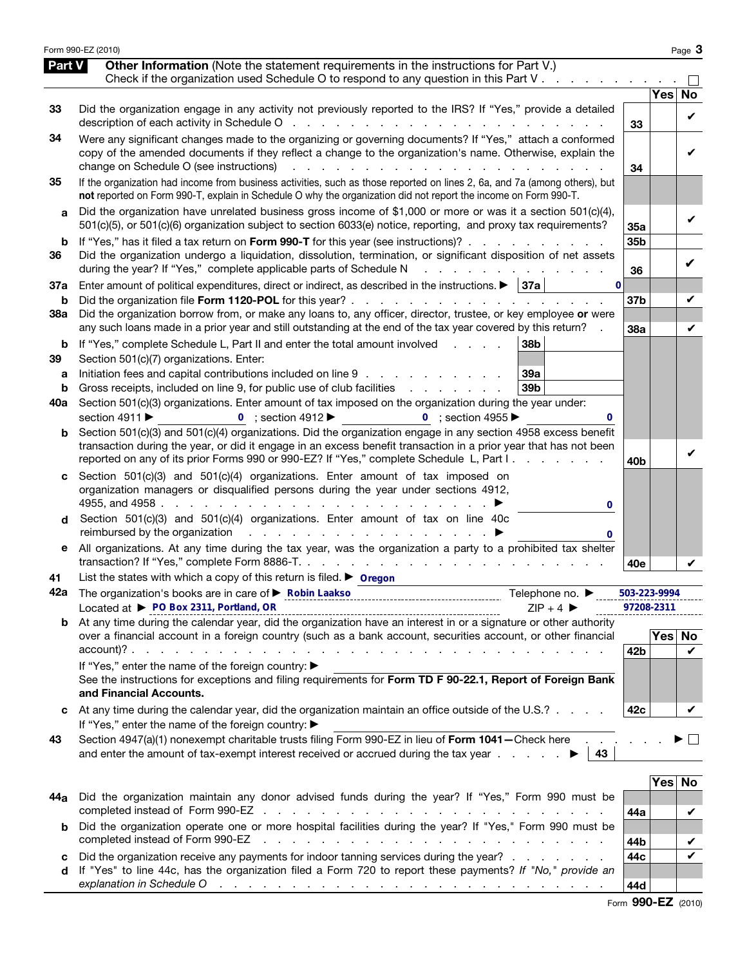|               | Form 990-EZ (2010)                                                                                                                                                                                                                                                                                                                                                             |                            |              | Page 3       |
|---------------|--------------------------------------------------------------------------------------------------------------------------------------------------------------------------------------------------------------------------------------------------------------------------------------------------------------------------------------------------------------------------------|----------------------------|--------------|--------------|
| <b>Part V</b> | <b>Other Information</b> (Note the statement requirements in the instructions for Part V.)<br>Check if the organization used Schedule O to respond to any question in this Part V                                                                                                                                                                                              |                            |              |              |
|               |                                                                                                                                                                                                                                                                                                                                                                                |                            | Yes          | <b>No</b>    |
| 33            | Did the organization engage in any activity not previously reported to the IRS? If "Yes," provide a detailed                                                                                                                                                                                                                                                                   | 33                         |              | V            |
| 34            | Were any significant changes made to the organizing or governing documents? If "Yes," attach a conformed<br>copy of the amended documents if they reflect a change to the organization's name. Otherwise, explain the<br>change on Schedule O (see instructions)<br>and a straightful and a straight and                                                                       | 34                         |              | V            |
| 35            | If the organization had income from business activities, such as those reported on lines 2, 6a, and 7a (among others), but<br>not reported on Form 990-T, explain in Schedule O why the organization did not report the income on Form 990-T.                                                                                                                                  |                            |              |              |
| a             | Did the organization have unrelated business gross income of \$1,000 or more or was it a section $501(c)(4)$ ,<br>501(c)(5), or 501(c)(6) organization subject to section 6033(e) notice, reporting, and proxy tax requirements?                                                                                                                                               | 35а                        |              | V            |
| b             | If "Yes," has it filed a tax return on Form 990-T for this year (see instructions)?                                                                                                                                                                                                                                                                                            | 35b                        |              |              |
| 36            | Did the organization undergo a liquidation, dissolution, termination, or significant disposition of net assets<br>during the year? If "Yes," complete applicable parts of Schedule N<br>an an ann an a                                                                                                                                                                         | 36                         |              | ✓            |
| 37a           | Enter amount of political expenditures, direct or indirect, as described in the instructions. $\blacktriangleright$   37a  <br>$\mathbf{0}$                                                                                                                                                                                                                                    |                            |              |              |
| b             | Did the organization borrow from, or make any loans to, any officer, director, trustee, or key employee or were                                                                                                                                                                                                                                                                | 37 <sub>b</sub>            |              | V            |
| 38a           | any such loans made in a prior year and still outstanding at the end of the tax year covered by this return?                                                                                                                                                                                                                                                                   | 38a                        |              | V            |
| b<br>39       | If "Yes," complete Schedule L, Part II and enter the total amount involved<br>38b<br><b>Contract Contract Contract</b><br>Section 501(c)(7) organizations. Enter:<br>Initiation fees and capital contributions included on line 9<br>39a                                                                                                                                       |                            |              |              |
| а<br>b        | 39 <sub>b</sub><br>Gross receipts, included on line 9, for public use of club facilities                                                                                                                                                                                                                                                                                       |                            |              |              |
| 40a           | Section 501(c)(3) organizations. Enter amount of tax imposed on the organization during the year under:<br>section 4911 ▶<br>0 ; section $4912 \blacktriangleright$<br>0 ; section 4955 $\blacktriangleright$<br>0                                                                                                                                                             |                            |              |              |
| b             | Section 501(c)(3) and 501(c)(4) organizations. Did the organization engage in any section 4958 excess benefit<br>transaction during the year, or did it engage in an excess benefit transaction in a prior year that has not been<br>reported on any of its prior Forms 990 or 990-EZ? If "Yes," complete Schedule L, Part I.                                                  |                            |              | V            |
| C             | Section $501(c)(3)$ and $501(c)(4)$ organizations. Enter amount of tax imposed on<br>organization managers or disqualified persons during the year under sections 4912,<br>4955, and 4958 $\cdot \cdot \cdot \cdot \cdot \cdot \cdot \cdot \cdot$<br>0                                                                                                                         | 40b                        |              |              |
| d             | Section 501(c)(3) and 501(c)(4) organizations. Enter amount of tax on line 40c<br>reimbursed by the organization entitled as a set of the organization of the set of the set of the set of the s<br>0                                                                                                                                                                          |                            |              |              |
| е             | All organizations. At any time during the tax year, was the organization a party to a prohibited tax shelter<br>transaction? If "Yes," complete Form 8886-T.                                                                                                                                                                                                                   | 40e                        |              | V            |
| 41            | List the states with which a copy of this return is filed. $\triangleright$ Oregon                                                                                                                                                                                                                                                                                             |                            |              |              |
|               | Telephone no. ▶<br>Located at ▶ PO Box 2311, Portland, OR<br>$ZIP + 4$                                                                                                                                                                                                                                                                                                         | 503-223-9994<br>97208-2311 |              |              |
|               | <b>b</b> At any time during the calendar year, did the organization have an interest in or a signature or other authority<br>over a financial account in a foreign country (such as a bank account, securities account, or other financial                                                                                                                                     |                            | Yes          | No           |
|               | If "Yes," enter the name of the foreign country: ▶<br>See the instructions for exceptions and filing requirements for Form TD F 90-22.1, Report of Foreign Bank<br>and Financial Accounts.                                                                                                                                                                                     | 42 <sub>b</sub>            |              | V            |
|               | At any time during the calendar year, did the organization maintain an office outside of the U.S.?<br>If "Yes," enter the name of the foreign country: ▶                                                                                                                                                                                                                       | 42c                        |              | V            |
| 43            | Section 4947(a)(1) nonexempt charitable trusts filing Form 990-EZ in lieu of Form 1041 - Check here<br>and enter the amount of tax-exempt interest received or accrued during the tax year $\ldots$ .<br>43                                                                                                                                                                    |                            |              | $\mathbf{L}$ |
|               |                                                                                                                                                                                                                                                                                                                                                                                |                            |              |              |
| 44a           | Did the organization maintain any donor advised funds during the year? If "Yes," Form 990 must be                                                                                                                                                                                                                                                                              |                            | $\bar{Y}$ es | No           |
| b             | Did the organization operate one or more hospital facilities during the year? If "Yes," Form 990 must be<br>completed instead of Form 990-EZ<br>the contract of the contract of the contract of the contract of the contract of the contract of the contract of the contract of the contract of the contract of the contract of the contract of the contract of the contract o | 44a                        |              | V            |
| c             | Did the organization receive any payments for indoor tanning services during the year?                                                                                                                                                                                                                                                                                         | 44b<br>44c                 |              | V<br>V       |
| d             | If "Yes" to line 44c, has the organization filed a Form 720 to report these payments? If "No," provide an<br>explanation in Schedule O response to the contract of the contract of the contract of the contract of the contract of the contract of the contract of the contract of the contract of the contract of the contract of the cont                                    | 44d                        |              |              |

Form 990-EZ (2010)